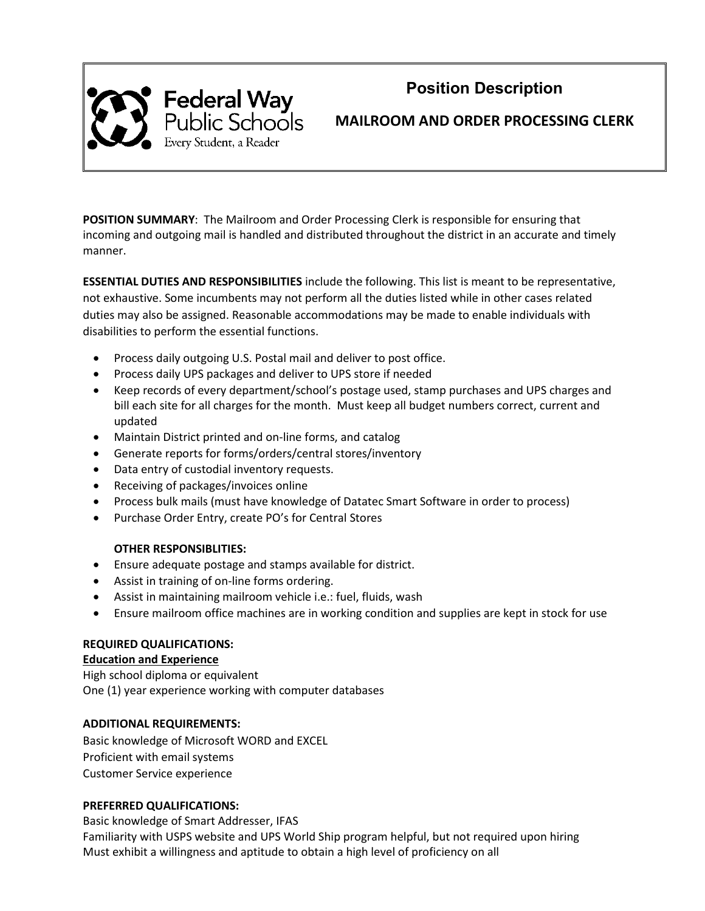

# **Position Description**

**MAILROOM AND ORDER PROCESSING CLERK**

**POSITION SUMMARY**: The Mailroom and Order Processing Clerk is responsible for ensuring that incoming and outgoing mail is handled and distributed throughout the district in an accurate and timely manner.

**ESSENTIAL DUTIES AND RESPONSIBILITIES** include the following. This list is meant to be representative, not exhaustive. Some incumbents may not perform all the duties listed while in other cases related duties may also be assigned. Reasonable accommodations may be made to enable individuals with disabilities to perform the essential functions.

- Process daily outgoing U.S. Postal mail and deliver to post office.
- Process daily UPS packages and deliver to UPS store if needed
- Keep records of every department/school's postage used, stamp purchases and UPS charges and bill each site for all charges for the month. Must keep all budget numbers correct, current and updated
- Maintain District printed and on-line forms, and catalog
- Generate reports for forms/orders/central stores/inventory
- Data entry of custodial inventory requests.
- Receiving of packages/invoices online
- Process bulk mails (must have knowledge of Datatec Smart Software in order to process)
- Purchase Order Entry, create PO's for Central Stores

# **OTHER RESPONSIBLITIES:**

- Ensure adequate postage and stamps available for district.
- Assist in training of on-line forms ordering.
- Assist in maintaining mailroom vehicle i.e.: fuel, fluids, wash
- Ensure mailroom office machines are in working condition and supplies are kept in stock for use

# **REQUIRED QUALIFICATIONS:**

## **Education and Experience**

High school diploma or equivalent One (1) year experience working with computer databases

# **ADDITIONAL REQUIREMENTS:**

Basic knowledge of Microsoft WORD and EXCEL Proficient with email systems Customer Service experience

# **PREFERRED QUALIFICATIONS:**

Basic knowledge of Smart Addresser, IFAS

Familiarity with USPS website and UPS World Ship program helpful, but not required upon hiring Must exhibit a willingness and aptitude to obtain a high level of proficiency on all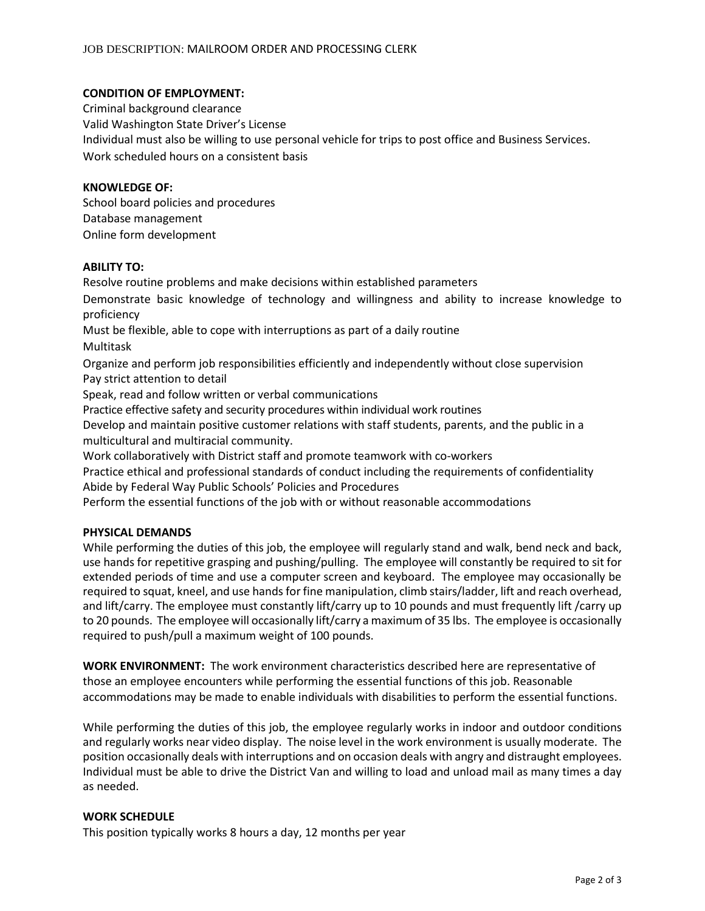## **CONDITION OF EMPLOYMENT:**

Criminal background clearance Valid Washington State Driver's License Individual must also be willing to use personal vehicle for trips to post office and Business Services. Work scheduled hours on a consistent basis

## **KNOWLEDGE OF:**

School board policies and procedures Database management Online form development

## **ABILITY TO:**

Resolve routine problems and make decisions within established parameters

Demonstrate basic knowledge of technology and willingness and ability to increase knowledge to proficiency

Must be flexible, able to cope with interruptions as part of a daily routine

Multitask

Organize and perform job responsibilities efficiently and independently without close supervision Pay strict attention to detail

Speak, read and follow written or verbal communications

Practice effective safety and security procedures within individual work routines

Develop and maintain positive customer relations with staff students, parents, and the public in a multicultural and multiracial community.

Work collaboratively with District staff and promote teamwork with co-workers

Practice ethical and professional standards of conduct including the requirements of confidentiality Abide by Federal Way Public Schools' Policies and Procedures

Perform the essential functions of the job with or without reasonable accommodations

# **PHYSICAL DEMANDS**

While performing the duties of this job, the employee will regularly stand and walk, bend neck and back, use hands for repetitive grasping and pushing/pulling. The employee will constantly be required to sit for extended periods of time and use a computer screen and keyboard. The employee may occasionally be required to squat, kneel, and use hands for fine manipulation, climb stairs/ladder, lift and reach overhead, and lift/carry. The employee must constantly lift/carry up to 10 pounds and must frequently lift /carry up to 20 pounds. The employee will occasionally lift/carry a maximum of 35 lbs. The employee is occasionally required to push/pull a maximum weight of 100 pounds.

**WORK ENVIRONMENT:** The work environment characteristics described here are representative of those an employee encounters while performing the essential functions of this job. Reasonable accommodations may be made to enable individuals with disabilities to perform the essential functions.

While performing the duties of this job, the employee regularly works in indoor and outdoor conditions and regularly works near video display. The noise level in the work environment is usually moderate. The position occasionally deals with interruptions and on occasion deals with angry and distraught employees. Individual must be able to drive the District Van and willing to load and unload mail as many times a day as needed.

## **WORK SCHEDULE**

This position typically works 8 hours a day, 12 months per year